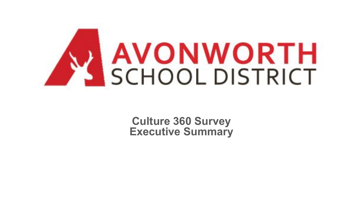

**Culture 360 Survey Executive Summary**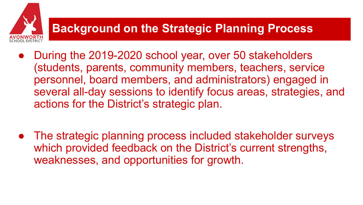# **Background on the Strategic Planning Process**

- During the 2019-2020 school year, over 50 stakeholders (students, parents, community members, teachers, service personnel, board members, and administrators) engaged in several all-day sessions to identify focus areas, strategies, and actions for the District's strategic plan.
- The strategic planning process included stakeholder surveys which provided feedback on the District's current strengths, weaknesses, and opportunities for growth.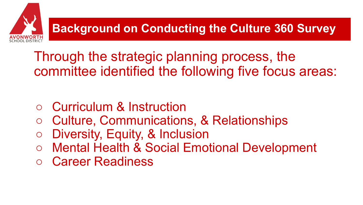**Background on Conducting the Culture 360 Survey**

Through the strategic planning process, the committee identified the following five focus areas:

- Curriculum & Instruction
- Culture, Communications, & Relationships
- Diversity, Equity, & Inclusion
- Mental Health & Social Emotional Development
- Career Readiness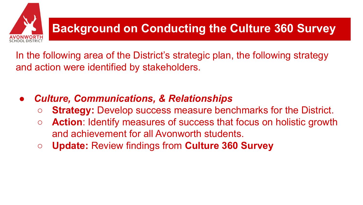

In the following area of the District's strategic plan, the following strategy and action were identified by stakeholders.

- *● Culture, Communications, & Relationships*
	- **Strategy:** Develop success measure benchmarks for the District.
	- **Action**: Identify measures of success that focus on holistic growth and achievement for all Avonworth students.
	- **Update:** Review findings from **Culture 360 Survey**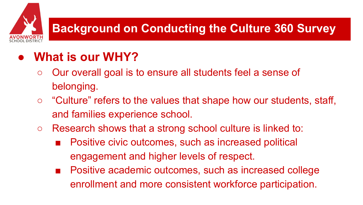# **Background on Conducting the Culture 360 Survey**

## **● What is our WHY?**

- Our overall goal is to ensure all students feel a sense of belonging.
- "Culture" refers to the values that shape how our students, staff, and families experience school.
- Research shows that a strong school culture is linked to:
	- Positive civic outcomes, such as increased political engagement and higher levels of respect.
	- Positive academic outcomes, such as increased college enrollment and more consistent workforce participation.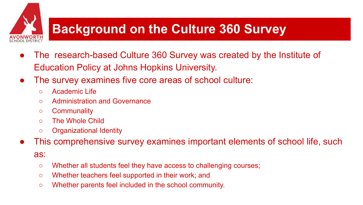# **Background on the Culture 360 Survey**

- The research-based Culture 360 Survey was created by the Institute of Education Policy at Johns Hopkins University.
- The survey examines five core areas of school culture:
	- Academic Life
	- Administration and Governance
	- Communality
	- The Whole Child
	- Organizational Identity
- This comprehensive survey examines important elements of school life, such

### as:

- Whether all students feel they have access to challenging courses;
- Whether teachers feel supported in their work; and
- Whether parents feel included in the school community.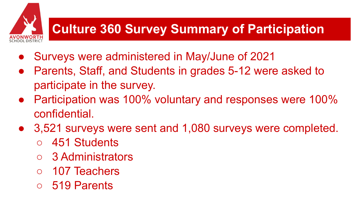# **Culture 360 Survey Summary of Participation**

- Surveys were administered in May/June of 2021
- Parents, Staff, and Students in grades 5-12 were asked to participate in the survey.
- Participation was 100% voluntary and responses were 100% confidential.
- 3,521 surveys were sent and 1,080 surveys were completed.
	- 451 Students
	- 3 Administrators
	- 107 Teachers
	- 519 Parents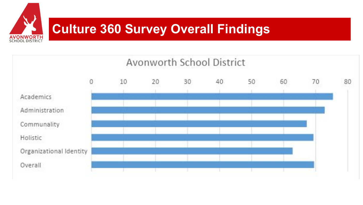

# **Culture 360 Survey Overall Findings**

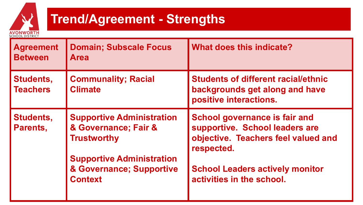

# **Trend/Agreement - Strengths**

| <b>Agreement</b><br><b>Between</b>  | <b>Domain; Subscale Focus</b><br><b>Area</b>                                   | What does this indicate?                                                                                                    |
|-------------------------------------|--------------------------------------------------------------------------------|-----------------------------------------------------------------------------------------------------------------------------|
| <b>Students,</b><br><b>Teachers</b> | <b>Communality; Racial</b><br><b>Climate</b>                                   | <b>Students of different racial/ethnic</b><br>backgrounds get along and have<br>positive interactions.                      |
| <b>Students,</b><br>Parents,        | <b>Supportive Administration</b><br>& Governance; Fair &<br><b>Trustworthy</b> | <b>School governance is fair and</b><br>supportive. School leaders are<br>objective. Teachers feel valued and<br>respected. |
|                                     | <b>Supportive Administration</b><br>& Governance; Supportive<br><b>Context</b> | <b>School Leaders actively monitor</b><br>activities in the school.                                                         |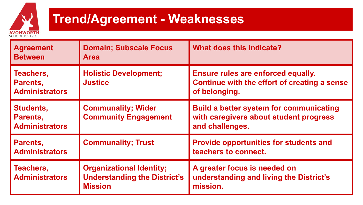

## **Trend/Agreement - Weaknesses**

| <b>Agreement</b><br><b>Between</b>                    | <b>Domain; Subscale Focus</b><br><b>Area</b>                                             | What does this indicate?                                                                                    |
|-------------------------------------------------------|------------------------------------------------------------------------------------------|-------------------------------------------------------------------------------------------------------------|
| Teachers,<br>Parents,<br><b>Administrators</b>        | <b>Holistic Development;</b><br><b>Justice</b>                                           | Ensure rules are enforced equally.<br>Continue with the effort of creating a sense<br>of belonging.         |
| <b>Students,</b><br>Parents,<br><b>Administrators</b> | <b>Communality; Wider</b><br><b>Community Engagement</b>                                 | <b>Build a better system for communicating</b><br>with caregivers about student progress<br>and challenges. |
| Parents,<br><b>Administrators</b>                     | <b>Communality; Trust</b>                                                                | <b>Provide opportunities for students and</b><br>teachers to connect.                                       |
| Teachers,<br><b>Administrators</b>                    | <b>Organizational Identity;</b><br><b>Understanding the District's</b><br><b>Mission</b> | A greater focus is needed on<br>understanding and living the District's<br>mission.                         |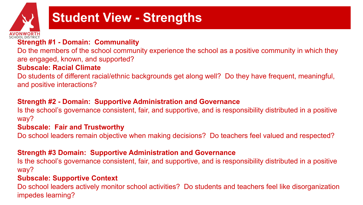

# **Student View - Strengths**

## **Strength #1 - Domain: Communality**

Do the members of the school community experience the school as a positive community in which they are engaged, known, and supported?

#### **Subscale: Racial Climate**

Do students of different racial/ethnic backgrounds get along well? Do they have frequent, meaningful, and positive interactions?

## **Strength #2 - Domain: Supportive Administration and Governance**

Is the school's governance consistent, fair, and supportive, and is responsibility distributed in a positive way?

#### **Subscale: Fair and Trustworthy**

Do school leaders remain objective when making decisions? Do teachers feel valued and respected?

#### **Strength #3 Domain: Supportive Administration and Governance**

Is the school's governance consistent, fair, and supportive, and is responsibility distributed in a positive way?

#### **Subscale: Supportive Context**

Do school leaders actively monitor school activities? Do students and teachers feel like disorganization impedes learning?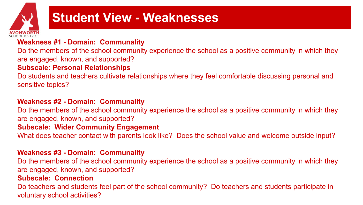

## **Student View - Weaknesses**

## **Weakness #1 - Domain: Communality**

Do the members of the school community experience the school as a positive community in which they are engaged, known, and supported?

### **Subscale: Personal Relationships**

Do students and teachers cultivate relationships where they feel comfortable discussing personal and sensitive topics?

### **Weakness #2 - Domain: Communality**

Do the members of the school community experience the school as a positive community in which they are engaged, known, and supported?

#### **Subscale: Wider Community Engagement**

What does teacher contact with parents look like? Does the school value and welcome outside input?

#### **Weakness #3 - Domain: Communality**

Do the members of the school community experience the school as a positive community in which they are engaged, known, and supported?

#### **Subscale: Connection**

Do teachers and students feel part of the school community? Do teachers and students participate in voluntary school activities?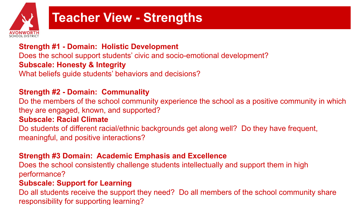

## **Teacher View - Strengths**

**Strength #1 - Domain: Holistic Development**

Does the school support students' civic and socio-emotional development?

## **Subscale: Honesty & Integrity**

What beliefs guide students' behaviors and decisions?

## **Strength #2 - Domain: Communality**

Do the members of the school community experience the school as a positive community in which they are engaged, known, and supported?

### **Subscale: Racial Climate**

Do students of different racial/ethnic backgrounds get along well? Do they have frequent, meaningful, and positive interactions?

### **Strength #3 Domain: Academic Emphasis and Excellence**

Does the school consistently challenge students intellectually and support them in high performance?

### **Subscale: Support for Learning**

Do all students receive the support they need? Do all members of the school community share responsibility for supporting learning?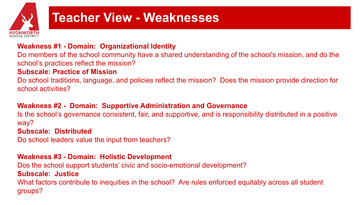

## **Teacher View - Weaknesses**

### **Weakness #1 - Domain: Organizational Identity**

Do members of the school community have a shared understanding of the school's mission, and do the school's practices reflect the mission?

## **Subscale: Practice of Mission**

Do school traditions, language, and policies reflect the mission? Does the mission provide direction for school activities?

## **Weakness #2 - Domain: Supportive Administration and Governance**

Is the school's governance consistent, fair, and supportive, and is responsibility distributed in a positive way?

#### **Subscale: Distributed**

Do school leaders value the input from teachers?

#### **Weakness #3 - Domain: Holistic Development**

Dos the school support students' civic and socio-emotional development? **Subscale: Justice** What factors contribute to inequities in the school? Are rules enforced equitably across all student

groups?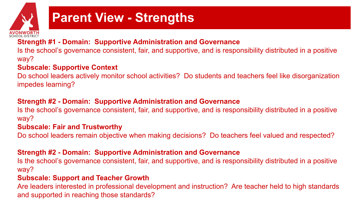

# **Parent View - Strengths**

## **Strength #1 - Domain: Supportive Administration and Governance**

Is the school's governance consistent, fair, and supportive, and is responsibility distributed in a positive way?

## **Subscale: Supportive Context**

Do school leaders actively monitor school activities? Do students and teachers feel like disorganization impedes learning?

## **Strength #2 - Domain: Supportive Administration and Governance**

Is the school's governance consistent, fair, and supportive, and is responsibility distributed in a positive way?

#### **Subscale: Fair and Trustworthy**

Do school leaders remain objective when making decisions? Do teachers feel valued and respected?

#### **Strength #2 - Domain: Supportive Administration and Governance**

Is the school's governance consistent, fair, and supportive, and is responsibility distributed in a positive way?

### **Subscale: Support and Teacher Growth**

Are leaders interested in professional development and instruction? Are teacher held to high standards and supported in reaching those standards?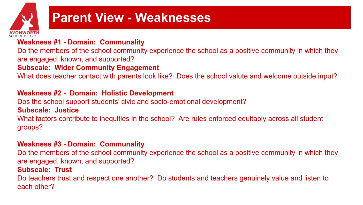

## **Parent View - Weaknesses**

## **Weakness #1 - Domain: Communality**

Do the members of the school community experience the school as a positive community in which they are engaged, known, and supported?

### **Subscale: Wider Community Engagement**

What does teacher contact with parents look like? Does the school valute and welcome outside input?

#### **Weakness #2 - Domain: Holistic Development**

Dos the school support students' civic and socio-emotional development? **Subscale: Justice**

What factors contribute to inequities in the school? Are rules enforced equitably across all student groups?

#### **Weakness #3 - Domain: Communality**

Do the members of the school community experience the school as a positive community in which they are engaged, known, and supported?

#### **Subscale: Trust**

Do teachers trust and respect one another? Do students and teachers genuinely value and listen to each other?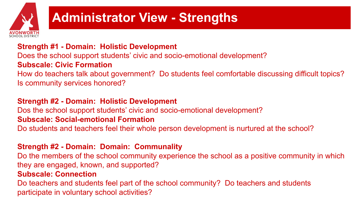

## **Administrator View - Strengths**

## **Strength #1 - Domain: Holistic Development**

Does the school support students' civic and socio-emotional development?

## **Subscale: Civic Formation**

How do teachers talk about government? Do students feel comfortable discussing difficult topics? Is community services honored?

## **Strength #2 - Domain: Holistic Development**

Dos the school support students' civic and socio-emotional development?

#### **Subscale: Social-emotional Formation**

Do students and teachers feel their whole person development is nurtured at the school?

## **Strength #2 - Domain: Domain: Communality**

Do the members of the school community experience the school as a positive community in which they are engaged, known, and supported?

#### **Subscale: Connection**

Do teachers and students feel part of the school community? Do teachers and students participate in voluntary school activities?